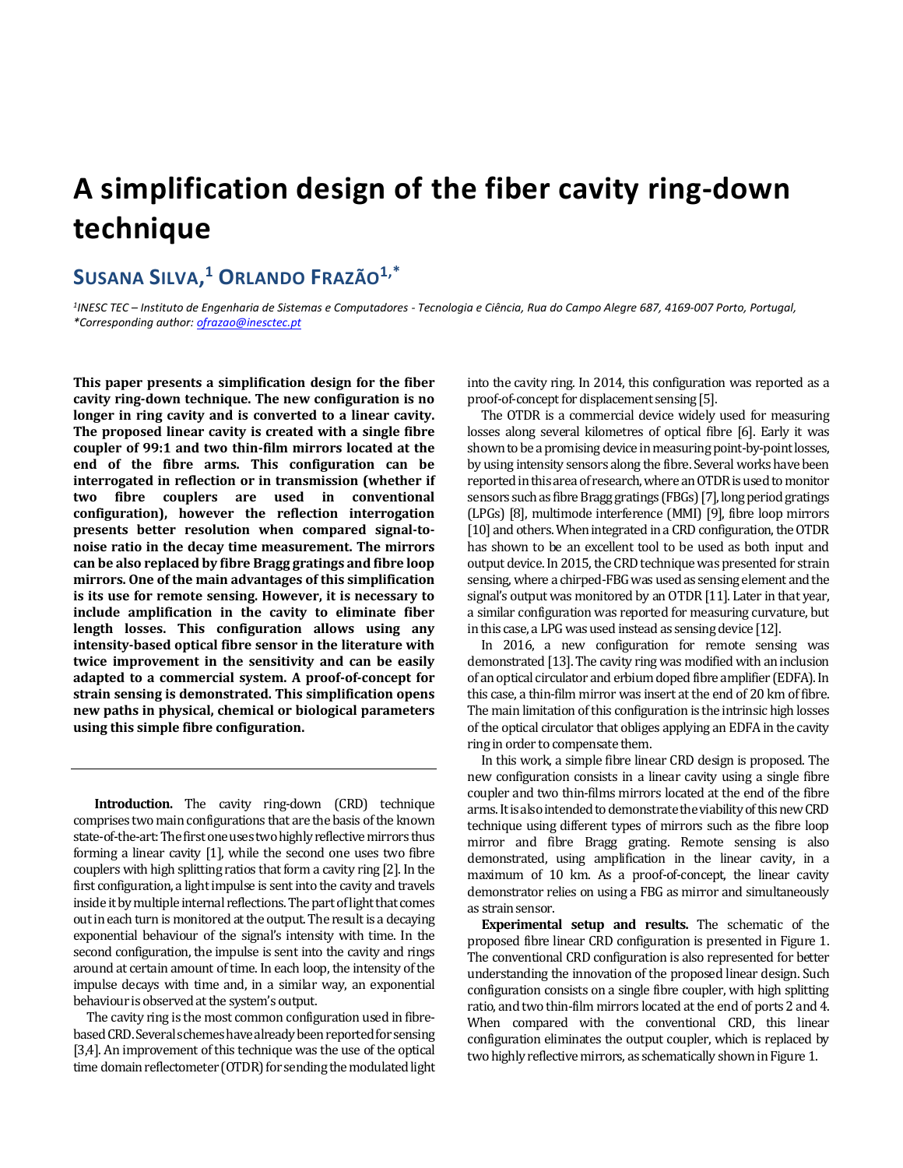## **A simplification design of the fiber cavity ring-down technique**

## **SUSANA SILVA, <sup>1</sup> ORLANDO FRAZÃO1,\***

*1 INESC TEC – Instituto de Engenharia de Sistemas e Computadores - Tecnologia e Ciência, Rua do Campo Alegre 687, 4169-007 Porto, Portugal, \*Corresponding author[: ofrazao@inesctec.pt](mailto:ofrazao@inesctec.pt)*

**This paper presents a simplification design for the fiber cavity ring-down technique. The new configuration is no longer in ring cavity and is converted to a linear cavity. The proposed linear cavity is created with a single fibre coupler of 99:1 and two thin-film mirrors located at the end of the fibre arms. This configuration can be interrogated in reflection or in transmission (whether if two fibre couplers are used in conventional configuration), however the reflection interrogation presents better resolution when compared signal-tonoise ratio in the decay time measurement. The mirrors can be also replaced by fibre Bragg gratings and fibre loop mirrors. One of the main advantages of this simplification is its use for remote sensing. However, it is necessary to include amplification in the cavity to eliminate fiber length losses. This configuration allows using any intensity-based optical fibre sensor in the literature with twice improvement in the sensitivity and can be easily adapted to a commercial system. A proof-of-concept for strain sensing is demonstrated. This simplification opens new paths in physical, chemical or biological parameters using this simple fibre configuration.**

 **Introduction.** The cavity ring-down (CRD) technique comprises two main configurations that are the basis of the known state-of-the-art: The first one uses two highly reflective mirrors thus forming a linear cavity [1], while the second one uses two fibre couplers with high splitting ratios that form a cavity ring [2]. In the first configuration, a light impulse is sent into the cavity and travels inside it by multiple internal reflections. The part of light that comes out in each turn is monitored at the output. The result is a decaying exponential behaviour of the signal's intensity with time. In the second configuration, the impulse is sent into the cavity and rings around at certain amount of time. In each loop, the intensity of the impulse decays with time and, in a similar way, an exponential behaviour is observed at the system's output.

The cavity ring is the most common configuration used in fibrebased CRD. Several schemes have already been reported for sensing [3,4]. An improvement of this technique was the use of the optical time domain reflectometer (OTDR) for sending the modulated light into the cavity ring. In 2014, this configuration was reported as a proof-of-concept for displacement sensing [5].

The OTDR is a commercial device widely used for measuring losses along several kilometres of optical fibre [6]. Early it was shown to be a promising device in measuring point-by-point losses, by using intensity sensors along the fibre. Several works have been reported in this area of research, where an OTDR is used to monitor sensors such as fibre Bragg gratings (FBGs) [7], long period gratings (LPGs) [8], multimode interference (MMI) [9], fibre loop mirrors [10] and others. When integrated in a CRD configuration, the OTDR has shown to be an excellent tool to be used as both input and output device. In 2015, the CRD technique was presented for strain sensing, where a chirped-FBG was used as sensing element and the signal's output was monitored by an OTDR [11]. Later in that year, a similar configuration was reported for measuring curvature, but in this case, a LPG was used instead as sensing device [12].

In 2016, a new configuration for remote sensing was demonstrated [13]. The cavity ring was modified with an inclusion of an optical circulator and erbium doped fibre amplifier (EDFA). In this case, a thin-film mirror was insert at the end of 20 km of fibre. The main limitation of this configuration is the intrinsic high losses of the optical circulator that obliges applying an EDFA in the cavity ring in order to compensate them.

In this work, a simple fibre linear CRD design is proposed. The new configuration consists in a linear cavity using a single fibre coupler and two thin-films mirrors located at the end of the fibre arms. It is also intended to demonstrate the viability of this new CRD technique using different types of mirrors such as the fibre loop mirror and fibre Bragg grating. Remote sensing is also demonstrated, using amplification in the linear cavity, in a maximum of 10 km. As a proof-of-concept, the linear cavity demonstrator relies on using a FBG as mirror and simultaneously as strain sensor.

**Experimental setup and results.** The schematic of the proposed fibre linear CRD configuration is presented in Figure 1. The conventional CRD configuration is also represented for better understanding the innovation of the proposed linear design. Such configuration consists on a single fibre coupler, with high splitting ratio, and two thin-film mirrors located at the end of ports 2 and 4. When compared with the conventional CRD, this linear configuration eliminates the output coupler, which is replaced by two highly reflective mirrors, as schematically shown in Figure 1.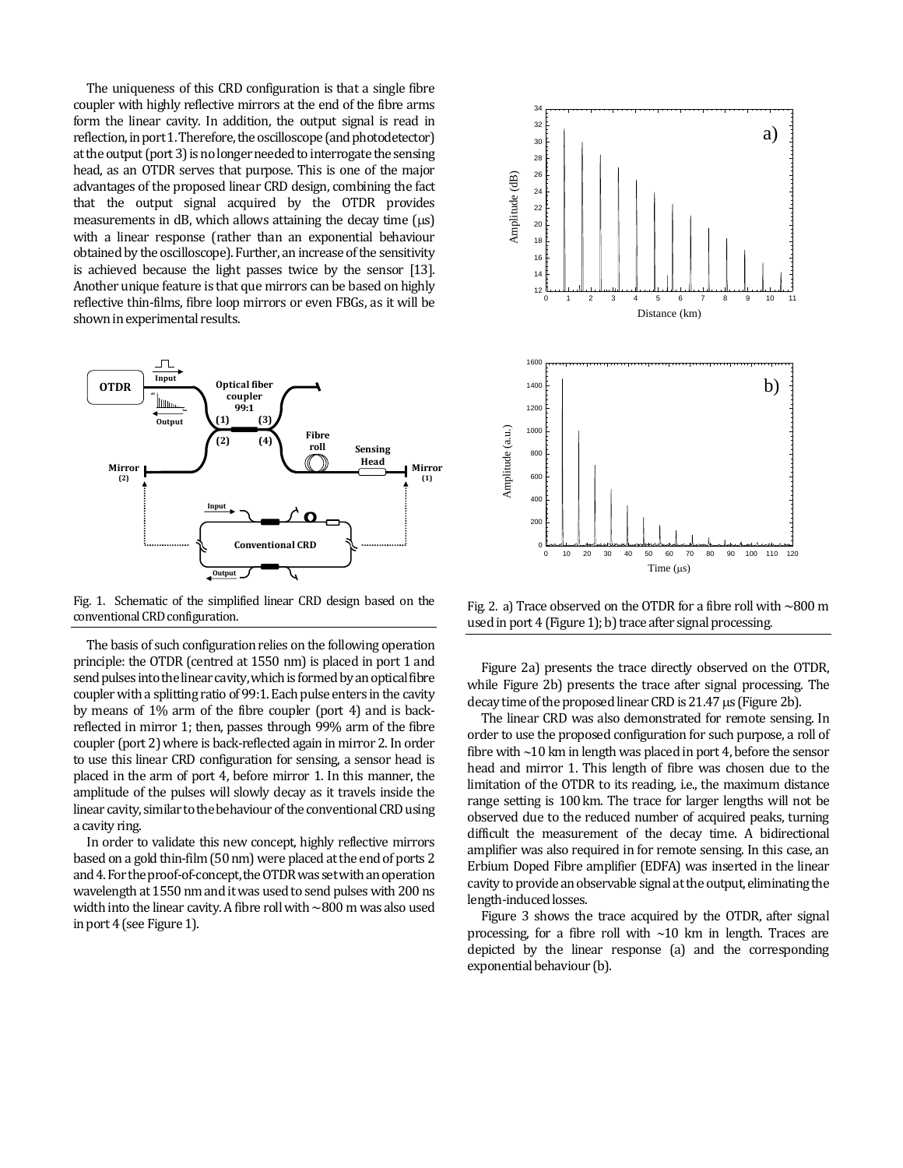The uniqueness of this CRD configuration is that a single fibre coupler with highly reflective mirrors at the end of the fibre arms form the linear cavity. In addition, the output signal is read in reflection, in port 1. Therefore, the oscilloscope (and photodetector) at the output (port 3) is no longer needed to interrogate the sensing head, as an OTDR serves that purpose. This is one of the major advantages of the proposed linear CRD design, combining the fact that the output signal acquired by the OTDR provides measurements in dB, which allows attaining the decay time  $(\mu s)$ with a linear response (rather than an exponential behaviour obtained by the oscilloscope). Further, an increase of the sensitivity is achieved because the light passes twice by the sensor [13]. Another unique feature is that que mirrors can be based on highly reflective thin-films, fibre loop mirrors or even FBGs, as it will be shown in experimental results.



Fig. 1. Schematic of the simplified linear CRD design based on the conventional CRD configuration.

The basis of such configuration relies on the following operation principle: the OTDR (centred at 1550 nm) is placed in port 1 and send pulses into the linear cavity, which is formed by an optical fibre coupler with a splitting ratio of 99:1. Each pulse enters in the cavity by means of 1% arm of the fibre coupler (port 4) and is backreflected in mirror 1; then, passes through 99% arm of the fibre coupler (port 2) where is back-reflected again in mirror 2.In order to use this linear CRD configuration for sensing, a sensor head is placed in the arm of port 4, before mirror 1. In this manner, the amplitude of the pulses will slowly decay as it travels inside the linear cavity, similar to the behaviour of the conventional CRD using a cavity ring.

In order to validate this new concept, highly reflective mirrors based on a gold thin-film (50 nm) were placed at the end of ports 2 and 4. For the proof-of-concept, the OTDR was set with an operation wavelength at 1550 nm and it was used to send pulses with 200 ns width into the linear cavity. A fibre roll with ~800 m was also used in port 4 (see Figure 1).



Fig. 2. a) Trace observed on the OTDR for a fibre roll with  $\sim$ 800 m used in port  $4$  (Figure 1); b) trace after signal processing.

Figure 2a) presents the trace directly observed on the OTDR, while Figure 2b) presents the trace after signal processing. The decay time of the proposed linear CRD is  $21.47 \mu s$  (Figure 2b).

The linear CRD was also demonstrated for remote sensing. In order to use the proposed configuration for such purpose, a roll of fibre with  $\sim$ 10 km in length was placed in port 4, before the sensor head and mirror 1. This length of fibre was chosen due to the limitation of the OTDR to its reading, i.e., the maximum distance range setting is 100 km. The trace for larger lengths will not be observed due to the reduced number of acquired peaks, turning difficult the measurement of the decay time. A bidirectional amplifier was also required in for remote sensing. In this case, an Erbium Doped Fibre amplifier (EDFA) was inserted in the linear cavity to provide an observable signal at the output, eliminating the length-induced losses.

Figure 3 shows the trace acquired by the OTDR, after signal processing, for a fibre roll with  $\sim$ 10 km in length. Traces are depicted by the linear response (a) and the corresponding exponential behaviour (b).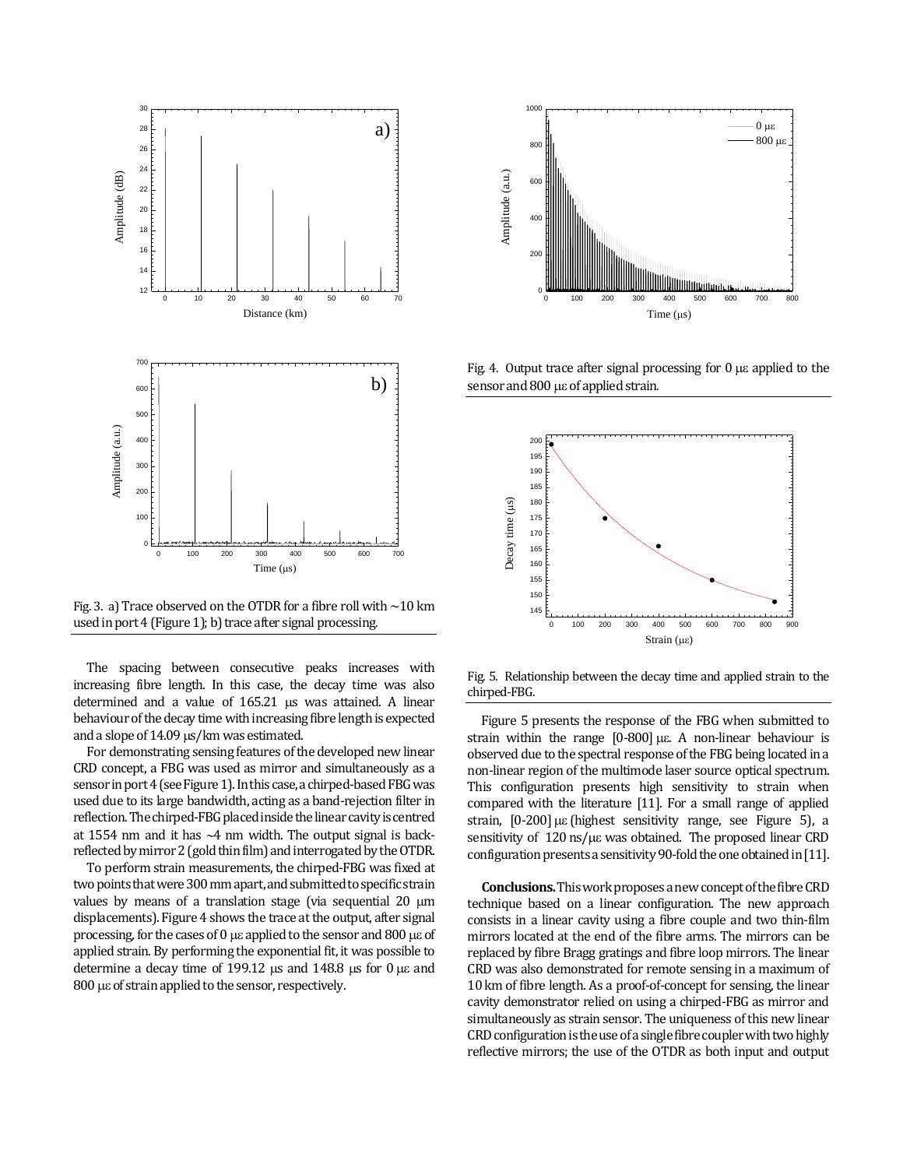

Fig. 3. a) Trace observed on the OTDR for a fibre roll with  $\sim$  10 km used in port  $4$  (Figure 1); b) trace after signal processing.

The spacing between consecutive peaks increases with increasing fibre length. In this case, the decay time was also determined and a value of  $165.21$   $\mu s$  was attained. A linear behaviour of the decay time with increasing fibre length is expected and a slope of  $14.09 \,\mu s/km$  was estimated.

For demonstrating sensing features of the developed new linear CRD concept, a FBG was used as mirror and simultaneously as a sensor inport 4(see Figure 1). In this case, a chirped-based FBG was used due to its large bandwidth, acting as a band-rejection filter in reflection. The chirped-FBG placed inside the linear cavity is centred at 1554 nm and it has  $-4$  nm width. The output signal is backreflected by mirror 2 (gold thin film) and interrogated by the OTDR.

To perform strain measurements, the chirped-FBG was fixed at two points that were 300 mm apart, and submitted to specific strain values by means of a translation stage (via sequential  $20 \mu m$ displacements). Figure 4 shows the trace at the output, after signal processing, for the cases of 0  $\mu$  applied to the sensor and 800  $\mu$  as of applied strain. By performing the exponential fit, it was possible to determine a decay time of 199.12  $\mu$ s and 148.8  $\mu$ s for 0  $\mu$ s and  $800$   $\mu\epsilon$  of strain applied to the sensor, respectively.



Fig. 4. Output trace after signal processing for  $0 \mu \varepsilon$  applied to the sensor and  $800 \mu\epsilon$  of applied strain.



Fig. 5. Relationship between the decay time and applied strain to the chirped-FBG.

Figure 5 presents the response of the FBG when submitted to strain within the range  $[0-800] \mu \varepsilon$ . A non-linear behaviour is observed due to the spectral response of the FBG being located in a non-linear region of the multimode laser source optical spectrum. This configuration presents high sensitivity to strain when compared with the literature [11]. For a small range of applied strain,  $[0-200]$   $\mu\epsilon$  (highest sensitivity range, see Figure 5), a sensitivity of  $120 \text{ ns/}\mu\varepsilon$  was obtained. The proposed linear CRD configuration presents a sensitivity 90-fold the one obtained in [11].

**Conclusions.**This work proposes a new concept of the fibre CRD technique based on a linear configuration. The new approach consists in a linear cavity using a fibre couple and two thin-film mirrors located at the end of the fibre arms. The mirrors can be replaced by fibre Bragg gratings and fibre loop mirrors. The linear CRD was also demonstrated for remote sensing in a maximum of 10 km of fibre length. As a proof-of-concept for sensing, the linear cavity demonstrator relied on using a chirped-FBG as mirror and simultaneously as strain sensor. The uniqueness of this new linear CRD configuration is the use of a single fibre coupler with two highly reflective mirrors; the use of the OTDR as both input and output